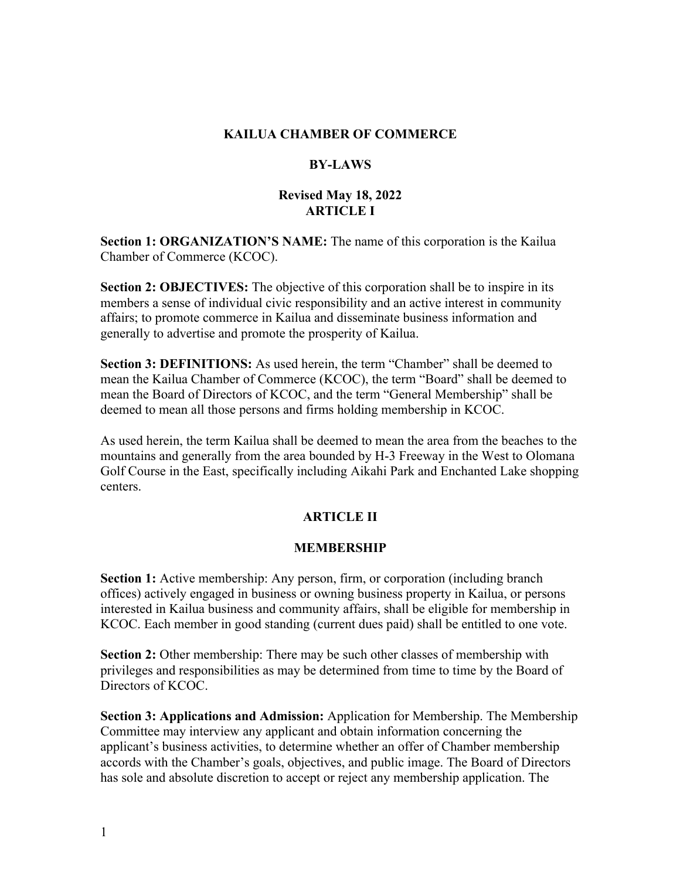#### **KAILUA CHAMBER OF COMMERCE**

#### **BY-LAWS**

### **Revised May 18, 2022 ARTICLE I**

**Section 1: ORGANIZATION'S NAME:** The name of this corporation is the Kailua Chamber of Commerce (KCOC).

**Section 2: OBJECTIVES:** The objective of this corporation shall be to inspire in its members a sense of individual civic responsibility and an active interest in community affairs; to promote commerce in Kailua and disseminate business information and generally to advertise and promote the prosperity of Kailua.

**Section 3: DEFINITIONS:** As used herein, the term "Chamber" shall be deemed to mean the Kailua Chamber of Commerce (KCOC), the term "Board" shall be deemed to mean the Board of Directors of KCOC, and the term "General Membership" shall be deemed to mean all those persons and firms holding membership in KCOC.

As used herein, the term Kailua shall be deemed to mean the area from the beaches to the mountains and generally from the area bounded by H-3 Freeway in the West to Olomana Golf Course in the East, specifically including Aikahi Park and Enchanted Lake shopping centers.

### **ARTICLE II**

#### **MEMBERSHIP**

**Section 1:** Active membership: Any person, firm, or corporation (including branch offices) actively engaged in business or owning business property in Kailua, or persons interested in Kailua business and community affairs, shall be eligible for membership in KCOC. Each member in good standing (current dues paid) shall be entitled to one vote.

**Section 2:** Other membership: There may be such other classes of membership with privileges and responsibilities as may be determined from time to time by the Board of Directors of KCOC.

**Section 3: Applications and Admission:** Application for Membership. The Membership Committee may interview any applicant and obtain information concerning the applicant's business activities, to determine whether an offer of Chamber membership accords with the Chamber's goals, objectives, and public image. The Board of Directors has sole and absolute discretion to accept or reject any membership application. The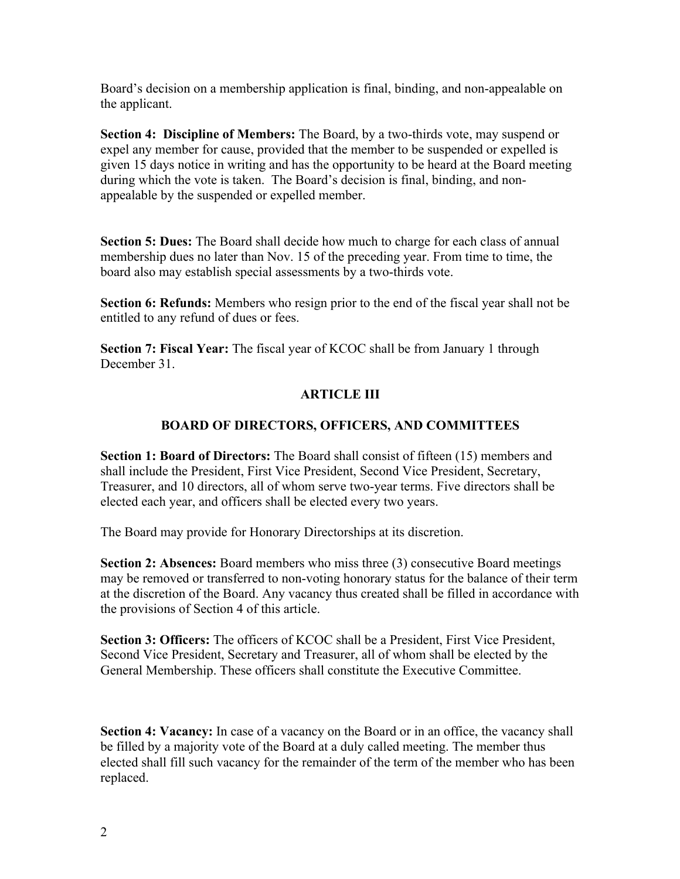Board's decision on a membership application is final, binding, and non-appealable on the applicant.

**Section 4: Discipline of Members:** The Board, by a two-thirds vote, may suspend or expel any member for cause, provided that the member to be suspended or expelled is given 15 days notice in writing and has the opportunity to be heard at the Board meeting during which the vote is taken. The Board's decision is final, binding, and nonappealable by the suspended or expelled member.

**Section 5: Dues:** The Board shall decide how much to charge for each class of annual membership dues no later than Nov. 15 of the preceding year. From time to time, the board also may establish special assessments by a two-thirds vote.

**Section 6: Refunds:** Members who resign prior to the end of the fiscal year shall not be entitled to any refund of dues or fees.

**Section 7: Fiscal Year:** The fiscal year of KCOC shall be from January 1 through December 31.

# **ARTICLE III**

# **BOARD OF DIRECTORS, OFFICERS, AND COMMITTEES**

**Section 1: Board of Directors:** The Board shall consist of fifteen (15) members and shall include the President, First Vice President, Second Vice President, Secretary, Treasurer, and 10 directors, all of whom serve two-year terms. Five directors shall be elected each year, and officers shall be elected every two years.

The Board may provide for Honorary Directorships at its discretion.

**Section 2: Absences:** Board members who miss three (3) consecutive Board meetings may be removed or transferred to non-voting honorary status for the balance of their term at the discretion of the Board. Any vacancy thus created shall be filled in accordance with the provisions of Section 4 of this article.

**Section 3: Officers:** The officers of KCOC shall be a President, First Vice President, Second Vice President, Secretary and Treasurer, all of whom shall be elected by the General Membership. These officers shall constitute the Executive Committee.

**Section 4: Vacancy:** In case of a vacancy on the Board or in an office, the vacancy shall be filled by a majority vote of the Board at a duly called meeting. The member thus elected shall fill such vacancy for the remainder of the term of the member who has been replaced.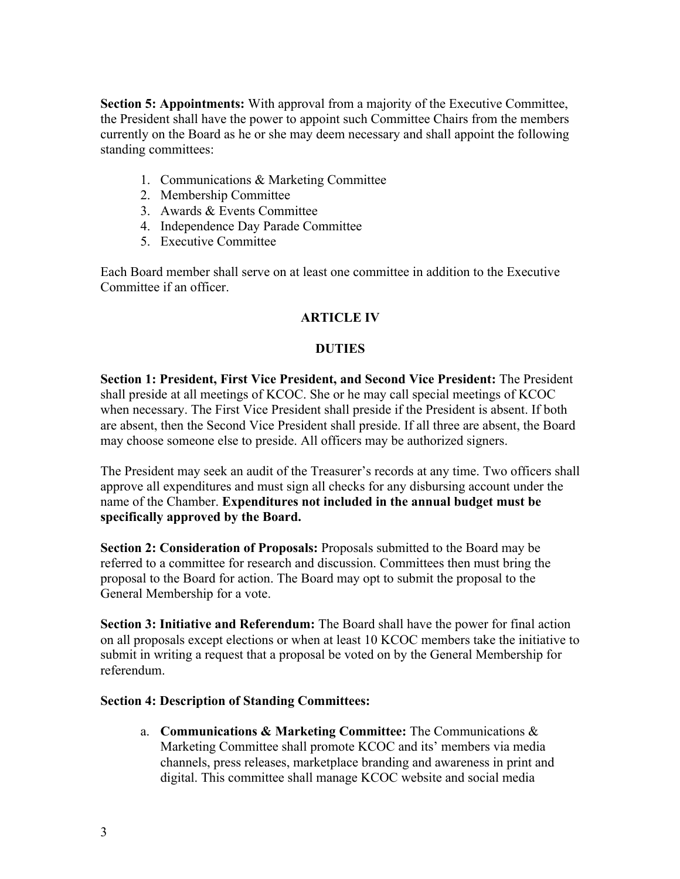**Section 5: Appointments:** With approval from a majority of the Executive Committee, the President shall have the power to appoint such Committee Chairs from the members currently on the Board as he or she may deem necessary and shall appoint the following standing committees:

- 1. Communications & Marketing Committee
- 2. Membership Committee
- 3. Awards & Events Committee
- 4. Independence Day Parade Committee
- 5. Executive Committee

Each Board member shall serve on at least one committee in addition to the Executive Committee if an officer.

### **ARTICLE IV**

### **DUTIES**

**Section 1: President, First Vice President, and Second Vice President:** The President shall preside at all meetings of KCOC. She or he may call special meetings of KCOC when necessary. The First Vice President shall preside if the President is absent. If both are absent, then the Second Vice President shall preside. If all three are absent, the Board may choose someone else to preside. All officers may be authorized signers.

The President may seek an audit of the Treasurer's records at any time. Two officers shall approve all expenditures and must sign all checks for any disbursing account under the name of the Chamber. **Expenditures not included in the annual budget must be specifically approved by the Board.**

**Section 2: Consideration of Proposals:** Proposals submitted to the Board may be referred to a committee for research and discussion. Committees then must bring the proposal to the Board for action. The Board may opt to submit the proposal to the General Membership for a vote.

**Section 3: Initiative and Referendum:** The Board shall have the power for final action on all proposals except elections or when at least 10 KCOC members take the initiative to submit in writing a request that a proposal be voted on by the General Membership for referendum.

### **Section 4: Description of Standing Committees:**

a. **Communications & Marketing Committee:** The Communications & Marketing Committee shall promote KCOC and its' members via media channels, press releases, marketplace branding and awareness in print and digital. This committee shall manage KCOC website and social media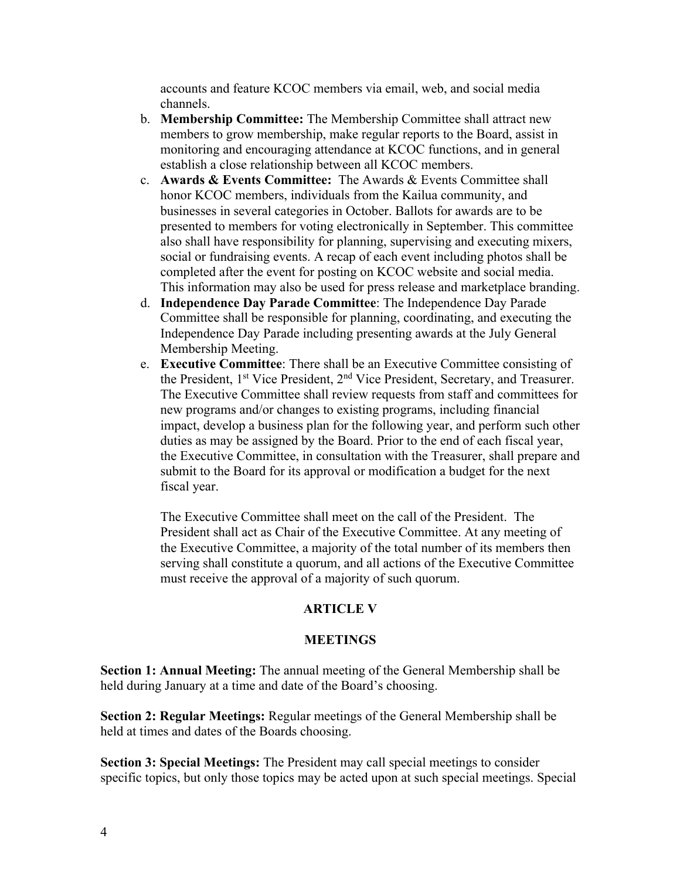accounts and feature KCOC members via email, web, and social media channels.

- b. **Membership Committee:** The Membership Committee shall attract new members to grow membership, make regular reports to the Board, assist in monitoring and encouraging attendance at KCOC functions, and in general establish a close relationship between all KCOC members.
- c. **Awards & Events Committee:** The Awards & Events Committee shall honor KCOC members, individuals from the Kailua community, and businesses in several categories in October. Ballots for awards are to be presented to members for voting electronically in September. This committee also shall have responsibility for planning, supervising and executing mixers, social or fundraising events. A recap of each event including photos shall be completed after the event for posting on KCOC website and social media. This information may also be used for press release and marketplace branding.
- d. **Independence Day Parade Committee**: The Independence Day Parade Committee shall be responsible for planning, coordinating, and executing the Independence Day Parade including presenting awards at the July General Membership Meeting.
- e. **Executive Committee**: There shall be an Executive Committee consisting of the President, 1st Vice President, 2nd Vice President, Secretary, and Treasurer. The Executive Committee shall review requests from staff and committees for new programs and/or changes to existing programs, including financial impact, develop a business plan for the following year, and perform such other duties as may be assigned by the Board. Prior to the end of each fiscal year, the Executive Committee, in consultation with the Treasurer, shall prepare and submit to the Board for its approval or modification a budget for the next fiscal year.

The Executive Committee shall meet on the call of the President. The President shall act as Chair of the Executive Committee. At any meeting of the Executive Committee, a majority of the total number of its members then serving shall constitute a quorum, and all actions of the Executive Committee must receive the approval of a majority of such quorum.

#### **ARTICLE V**

#### **MEETINGS**

**Section 1: Annual Meeting:** The annual meeting of the General Membership shall be held during January at a time and date of the Board's choosing.

**Section 2: Regular Meetings:** Regular meetings of the General Membership shall be held at times and dates of the Boards choosing.

**Section 3: Special Meetings:** The President may call special meetings to consider specific topics, but only those topics may be acted upon at such special meetings. Special